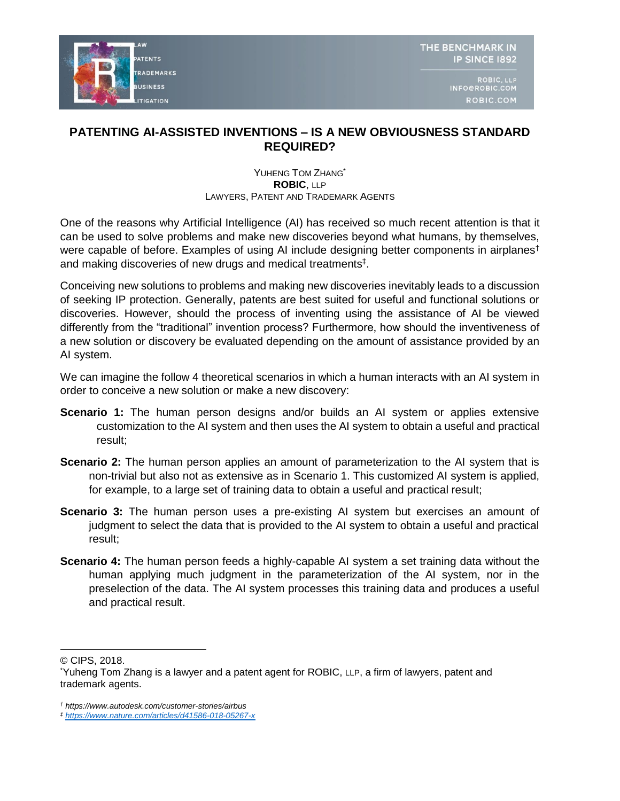

## **PATENTING AI-ASSISTED INVENTIONS – IS A NEW OBVIOUSNESS STANDARD REQUIRED?**

## YUHENG TOM ZHANG\* **ROBIC**, LLP LAWYERS, PATENT AND TRADEMARK AGENTS

One of the reasons why Artificial Intelligence (AI) has received so much recent attention is that it can be used to solve problems and make new discoveries beyond what humans, by themselves, were capable of before. Examples of using AI include designing better components in airplanes<sup>†</sup> and making discoveries of new drugs and medical treatments<sup>‡</sup>.

Conceiving new solutions to problems and making new discoveries inevitably leads to a discussion of seeking IP protection. Generally, patents are best suited for useful and functional solutions or discoveries. However, should the process of inventing using the assistance of AI be viewed differently from the "traditional" invention process? Furthermore, how should the inventiveness of a new solution or discovery be evaluated depending on the amount of assistance provided by an AI system.

We can imagine the follow 4 theoretical scenarios in which a human interacts with an AI system in order to conceive a new solution or make a new discovery:

- **Scenario 1:** The human person designs and/or builds an AI system or applies extensive customization to the AI system and then uses the AI system to obtain a useful and practical result;
- **Scenario 2:** The human person applies an amount of parameterization to the AI system that is non-trivial but also not as extensive as in Scenario 1. This customized AI system is applied, for example, to a large set of training data to obtain a useful and practical result;
- **Scenario 3:** The human person uses a pre-existing AI system but exercises an amount of judgment to select the data that is provided to the AI system to obtain a useful and practical result;
- **Scenario 4:** The human person feeds a highly-capable AI system a set training data without the human applying much judgment in the parameterization of the AI system, nor in the preselection of the data. The AI system processes this training data and produces a useful and practical result.

 $\overline{a}$ © CIPS, 2018.

<sup>\*</sup>Yuheng Tom Zhang is a lawyer and a patent agent for ROBIC, LLP, a firm of lawyers, patent and trademark agents.

*<sup>†</sup> https://www.autodesk.com/customer-stories/airbus*

*<sup>‡</sup> <https://www.nature.com/articles/d41586-018-05267-x>*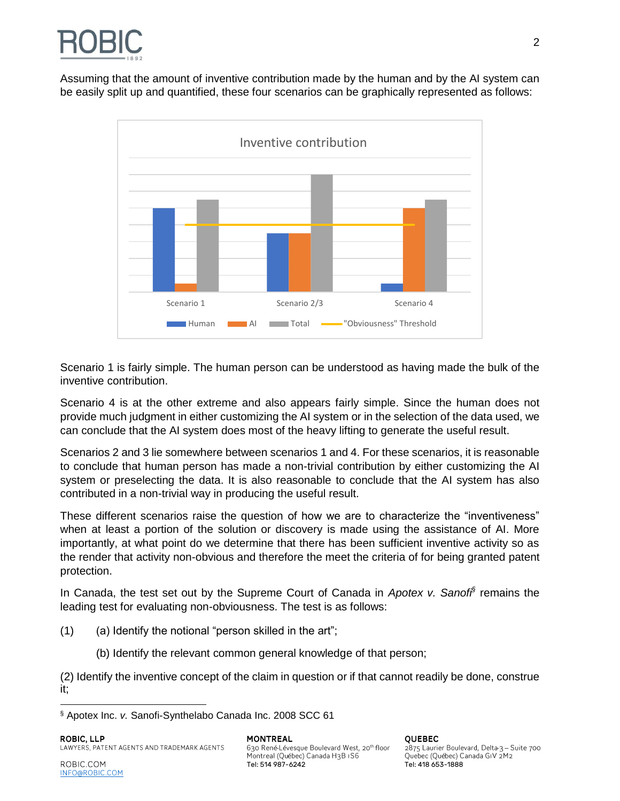

Assuming that the amount of inventive contribution made by the human and by the AI system can be easily split up and quantified, these four scenarios can be graphically represented as follows:



Scenario 1 is fairly simple. The human person can be understood as having made the bulk of the inventive contribution.

Scenario 4 is at the other extreme and also appears fairly simple. Since the human does not provide much judgment in either customizing the AI system or in the selection of the data used, we can conclude that the AI system does most of the heavy lifting to generate the useful result.

Scenarios 2 and 3 lie somewhere between scenarios 1 and 4. For these scenarios, it is reasonable to conclude that human person has made a non-trivial contribution by either customizing the AI system or preselecting the data. It is also reasonable to conclude that the AI system has also contributed in a non-trivial way in producing the useful result.

These different scenarios raise the question of how we are to characterize the "inventiveness" when at least a portion of the solution or discovery is made using the assistance of AI. More importantly, at what point do we determine that there has been sufficient inventive activity so as the render that activity non-obvious and therefore the meet the criteria of for being granted patent protection.

In Canada, the test set out by the Supreme Court of Canada in *Apotex v. Sanofi§* remains the leading test for evaluating non-obviousness. The test is as follows:

 $(1)$  (a) Identify the notional "person skilled in the art";

(b) Identify the relevant common general knowledge of that person;

(2) Identify the inventive concept of the claim in question or if that cannot readily be done, construe it;

 $\overline{a}$ 

2875 Laurier Boulevard, Delta-3 - Suite 700 Quebec (Québec) Canada GIV 2M2

<sup>§</sup> Apotex Inc. *v.* Sanofi-Synthelabo Canada Inc. 2008 SCC 61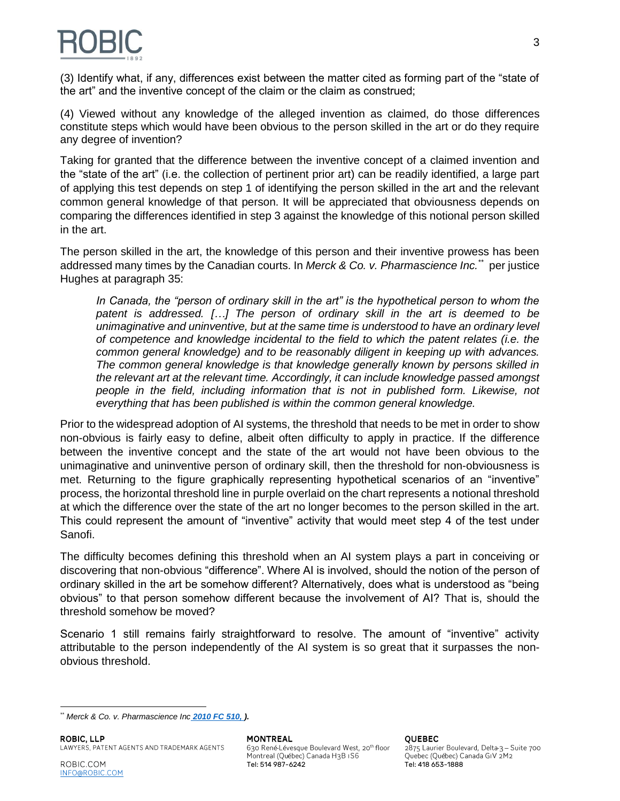

(3) Identify what, if any, differences exist between the matter cited as forming part of the "state of the art" and the inventive concept of the claim or the claim as construed;

(4) Viewed without any knowledge of the alleged invention as claimed, do those differences constitute steps which would have been obvious to the person skilled in the art or do they require any degree of invention?

Taking for granted that the difference between the inventive concept of a claimed invention and the "state of the art" (i.e. the collection of pertinent prior art) can be readily identified, a large part of applying this test depends on step 1 of identifying the person skilled in the art and the relevant common general knowledge of that person. It will be appreciated that obviousness depends on comparing the differences identified in step 3 against the knowledge of this notional person skilled in the art.

The person skilled in the art, the knowledge of this person and their inventive prowess has been addressed many times by the Canadian courts. In Merck & Co. v. Pharmascience Inc.<sup>\*\*</sup> per justice Hughes at paragraph 35:

*In Canada, the "person of ordinary skill in the art" is the hypothetical person to whom the patent is addressed. […] The person of ordinary skill in the art is deemed to be unimaginative and uninventive, but at the same time is understood to have an ordinary level of competence and knowledge incidental to the field to which the patent relates (i.e. the common general knowledge) and to be reasonably diligent in keeping up with advances. The common general knowledge is that knowledge generally known by persons skilled in the relevant art at the relevant time. Accordingly, it can include knowledge passed amongst people in the field, including information that is not in published form. Likewise, not everything that has been published is within the common general knowledge.*

Prior to the widespread adoption of AI systems, the threshold that needs to be met in order to show non-obvious is fairly easy to define, albeit often difficulty to apply in practice. If the difference between the inventive concept and the state of the art would not have been obvious to the unimaginative and uninventive person of ordinary skill, then the threshold for non-obviousness is met. Returning to the figure graphically representing hypothetical scenarios of an "inventive" process, the horizontal threshold line in purple overlaid on the chart represents a notional threshold at which the difference over the state of the art no longer becomes to the person skilled in the art. This could represent the amount of "inventive" activity that would meet step 4 of the test under Sanofi.

The difficulty becomes defining this threshold when an AI system plays a part in conceiving or discovering that non-obvious "difference". Where AI is involved, should the notion of the person of ordinary skilled in the art be somehow different? Alternatively, does what is understood as "being obvious" to that person somehow different because the involvement of AI? That is, should the threshold somehow be moved?

Scenario 1 still remains fairly straightforward to resolve. The amount of "inventive" activity attributable to the person independently of the AI system is so great that it surpasses the nonobvious threshold.

630 René-Lévesque Boulevard West, 20<sup>th</sup> floor Montreal (Québec) Canada H3B IS6 Tel: 514 987-6242 Tel: 418 653-1888

**OUEBEC** 

2875 Laurier Boulevard, Delta-3 - Suite 700 Quebec (Québec) Canada GIV 2M2

 $\overline{a}$ *\*\* Merck & Co. v. Pharmascience Inc [2010 FC 510, \)](http://nextcanada.westlaw.com/Link/Document/FullText?findType=Y&serNum=2022068859&pubNum=5461&cite=CaseLaw_1136688&originatingDoc=I8112af4772d0628fe0440003bacbe8c1&refType=CW&originationContext=document&vr=3.0&rs=cblt1.0&transitionType=DocumentItem&contextData=(sc.Category)).*